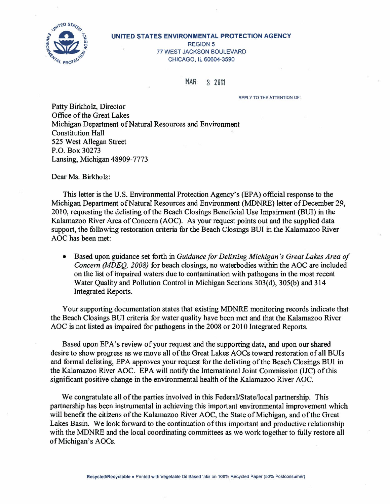

#### UNITED STATES ENVIRONMENTAL PROTECTION AGENCY

REGION 5 77 WEST JACKSON BOULEVARD CHICAGO, IL 60604-3590

MAR 3 2011

REPLY TO THE ATTENTION OF

Patty Birkholz, Director Office of the Great Lakes Michigan Department of Natural Resources and Environment Constitution Hall 525 West Allegan Street P.O. Box 30273 Lansing, Michigan 48909-7773

Dear Ms. Birkholz:

This letter is the U.S. Environmental Protection Agency's (EPA) official response to the Michigan Department of Natural Resources and Environment (MDNRE) letter of December 29, 2010, requesting the delisting of the Beach Closings Beneficial Use Impairment (BUI) in the Kalamazoo River Area of Concern (AOC). As your request points out and the supplied data support, the following restoration criteria for the Beach Closings BUI in the Kalamazoo River AOC has been met:

• Based upon guidance set forth in *Guidance for De listing Michigan's Great Lakes Area of Concern (MDEQ, 2008)* for beach closings, no waterbodies within the AOC are included on the list of impaired waters due to contamination with pathogens in the most recent Water Quality and Pollution Control in Michigan Sections 303(d), 305(b) and 314 Integrated Reports.

Your supporting documentation states that existing MDNRE monitoring records indicate that the Beach Closings BUI criteria for water quality have been met and that the Kalamazoo River AOC is not listed as impaired for pathogens in the 2008 or 2010 Integrated Reports.

Based upon EPA's review of your request and the supporting data, and upon our shared desire to show progress as we move all of the Great Lakes AOCs toward restoration of all BUis and formal delisting, EPA approves your request for the delisting of the Beach Closings BUI in the Kalamazoo River AOC. EPA will notify the International Joint Commission (IJC) ofthis significant positive change in the environmental health of the Kalamazoo River AOC.

We congratulate all of the parties involved in this Federal/State/local partnership. This partnership has been instrumental in achieving this important environmental improvement which will benefit the citizens of the Kalamazoo River AOC, the State of Michigan, and of the Great Lakes Basin. We look forward to the continuation of this important and productive relationship with the MDNRE and the local coordinating committees as we work together to fully restore all of Michigan's AOCs.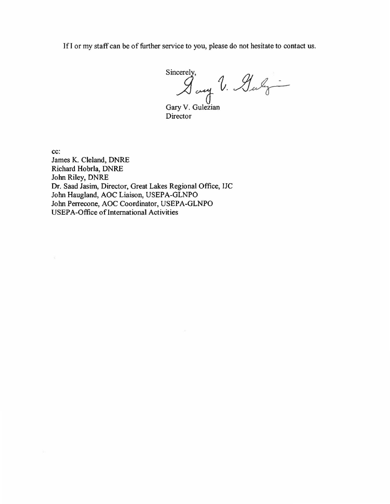lfl or my staff can be of further service to you, please do not hesitate to contact us.

Sincerely,<br>I any V. Guly

Gary V. Gulezian Director

cc: James K. Cleland, DNRE Richard Hobrla, DNRE John Riley, DNRE Dr. Saad Jasim, Director, Great Lakes Regional Office, IJC Jolm Haugland, AOC Liaison, USEPA-GLNPO John Perrecone, AOC Coordinator, USEPA-GLNPO USEPA-Office of International Activities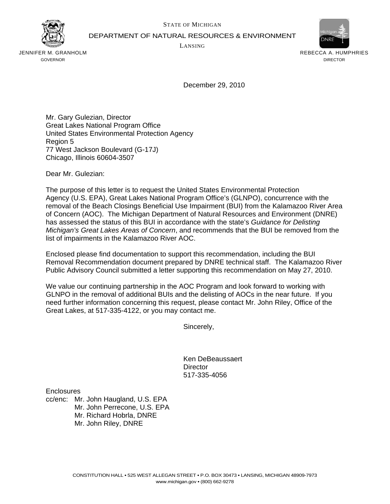

DEPARTMENT OF NATURAL RESOURCES & ENVIRONMENT

LANSING



JENNIFER M. GRANHOLM GOVERNOR

REBECCA A. HUMPHRIES DIRECTOR

December 29, 2010

Mr. Gary Gulezian, Director Great Lakes National Program Office United States Environmental Protection Agency Region 5 77 West Jackson Boulevard (G-17J) Chicago, Illinois 60604-3507

Dear Mr. Gulezian:

The purpose of this letter is to request the United States Environmental Protection Agency (U.S. EPA), Great Lakes National Program Office's (GLNPO), concurrence with the removal of the Beach Closings Beneficial Use Impairment (BUI) from the Kalamazoo River Area of Concern (AOC). The Michigan Department of Natural Resources and Environment (DNRE) has assessed the status of this BUI in accordance with the state's *Guidance for Delisting Michigan's Great Lakes Areas of Concern*, and recommends that the BUI be removed from the list of impairments in the Kalamazoo River AOC.

Enclosed please find documentation to support this recommendation, including the BUI Removal Recommendation document prepared by DNRE technical staff. The Kalamazoo River Public Advisory Council submitted a letter supporting this recommendation on May 27, 2010.

We value our continuing partnership in the AOC Program and look forward to working with GLNPO in the removal of additional BUIs and the delisting of AOCs in the near future. If you need further information concerning this request, please contact Mr. John Riley, Office of the Great Lakes, at 517-335-4122, or you may contact me.

Sincerely,

Ken DeBeaussaert **Director** 517-335-4056

**Enclosures** 

cc/enc: Mr. John Haugland, U.S. EPA Mr. John Perrecone, U.S. EPA Mr. Richard Hobrla, DNRE Mr. John Riley, DNRE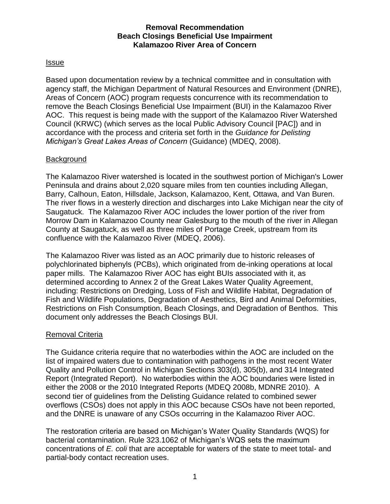## **Removal Recommendation Beach Closings Beneficial Use Impairment Kalamazoo River Area of Concern**

## Issue

Based upon documentation review by a technical committee and in consultation with agency staff, the Michigan Department of Natural Resources and Environment (DNRE), Areas of Concern (AOC) program requests concurrence with its recommendation to remove the Beach Closings Beneficial Use Impairment (BUI) in the Kalamazoo River AOC. This request is being made with the support of the Kalamazoo River Watershed Council (KRWC) (which serves as the local Public Advisory Council [PAC]) and in accordance with the process and criteria set forth in the *Guidance for Delisting Michigan's Great Lakes Areas of Concern* (Guidance) (MDEQ, 2008).

## **Background**

The Kalamazoo River watershed is located in the southwest portion of Michigan's Lower Peninsula and drains about 2,020 square miles from ten counties including Allegan, Barry, Calhoun, Eaton, Hillsdale, Jackson, Kalamazoo, Kent, Ottawa, and Van Buren. The river flows in a westerly direction and discharges into Lake Michigan near the city of Saugatuck. The Kalamazoo River AOC includes the lower portion of the river from Morrow Dam in Kalamazoo County near Galesburg to the mouth of the river in Allegan County at Saugatuck, as well as three miles of Portage Creek, upstream from its confluence with the Kalamazoo River (MDEQ, 2006).

The Kalamazoo River was listed as an AOC primarily due to historic releases of polychlorinated biphenyls (PCBs), which originated from de-inking operations at local paper mills. The Kalamazoo River AOC has eight BUIs associated with it, as determined according to Annex 2 of the Great Lakes Water Quality Agreement, including: Restrictions on Dredging, Loss of Fish and Wildlife Habitat, Degradation of Fish and Wildlife Populations, Degradation of Aesthetics, Bird and Animal Deformities, Restrictions on Fish Consumption, Beach Closings, and Degradation of Benthos. This document only addresses the Beach Closings BUI.

## Removal Criteria

The Guidance criteria require that no waterbodies within the AOC are included on the list of impaired waters due to contamination with pathogens in the most recent Water Quality and Pollution Control in Michigan Sections 303(d), 305(b), and 314 Integrated Report (Integrated Report). No waterbodies within the AOC boundaries were listed in either the 2008 or the 2010 Integrated Reports (MDEQ 2008b, MDNRE 2010). A second tier of guidelines from the Delisting Guidance related to combined sewer overflows (CSOs) does not apply in this AOC because CSOs have not been reported, and the DNRE is unaware of any CSOs occurring in the Kalamazoo River AOC.

The restoration criteria are based on Michigan's Water Quality Standards (WQS) for bacterial contamination. Rule 323.1062 of Michigan's WQS sets the maximum concentrations of *E. coli* that are acceptable for waters of the state to meet total- and partial-body contact recreation uses.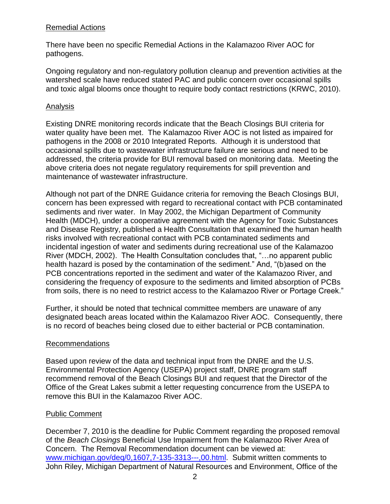## Remedial Actions

There have been no specific Remedial Actions in the Kalamazoo River AOC for pathogens.

Ongoing regulatory and non-regulatory pollution cleanup and prevention activities at the watershed scale have reduced stated PAC and public concern over occasional spills and toxic algal blooms once thought to require body contact restrictions (KRWC, 2010).

# Analysis

Existing DNRE monitoring records indicate that the Beach Closings BUI criteria for water quality have been met. The Kalamazoo River AOC is not listed as impaired for pathogens in the 2008 or 2010 Integrated Reports. Although it is understood that occasional spills due to wastewater infrastructure failure are serious and need to be addressed, the criteria provide for BUI removal based on monitoring data. Meeting the above criteria does not negate regulatory requirements for spill prevention and maintenance of wastewater infrastructure.

Although not part of the DNRE Guidance criteria for removing the Beach Closings BUI, concern has been expressed with regard to recreational contact with PCB contaminated sediments and river water. In May 2002, the Michigan Department of Community Health (MDCH), under a cooperative agreement with the Agency for Toxic Substances and Disease Registry, published a Health Consultation that examined the human health risks involved with recreational contact with PCB contaminated sediments and incidental ingestion of water and sediments during recreational use of the Kalamazoo River (MDCH, 2002). The Health Consultation concludes that, "…no apparent public health hazard is posed by the contamination of the sediment." And, "(b)ased on the PCB concentrations reported in the sediment and water of the Kalamazoo River, and considering the frequency of exposure to the sediments and limited absorption of PCBs from soils, there is no need to restrict access to the Kalamazoo River or Portage Creek."

Further, it should be noted that technical committee members are unaware of any designated beach areas located within the Kalamazoo River AOC. Consequently, there is no record of beaches being closed due to either bacterial or PCB contamination.

## Recommendations

Based upon review of the data and technical input from the DNRE and the U.S. Environmental Protection Agency (USEPA) project staff, DNRE program staff recommend removal of the Beach Closings BUI and request that the Director of the Office of the Great Lakes submit a letter requesting concurrence from the USEPA to remove this BUI in the Kalamazoo River AOC.

## Public Comment

December 7, 2010 is the deadline for Public Comment regarding the proposed removal of the *Beach Closings* Beneficial Use Impairment from the Kalamazoo River Area of Concern. The Removal Recommendation document can be viewed at: [www.michigan.gov/deq/0,1607,7-135-3313---,00.html.](http://www.michigan.gov/deq/0,1607,7-135-3313---,00.html) Submit written comments to John Riley, Michigan Department of Natural Resources and Environment, Office of the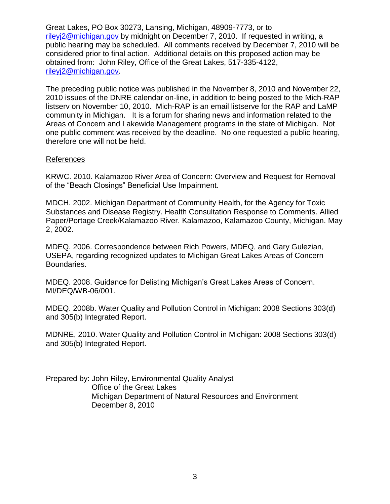Great Lakes, PO Box 30273, Lansing, Michigan, 48909-7773, or to [rileyj2@michigan.gov](mailto:rileyj2@michigan.gov) by midnight on December 7, 2010. If requested in writing, a public hearing may be scheduled. All comments received by December 7, 2010 will be considered prior to final action. Additional details on this proposed action may be obtained from: John Riley, Office of the Great Lakes, 517-335-4122, [rileyj2@michigan.gov.](mailto:rileyj2@michigan.gov)

The preceding public notice was published in the November 8, 2010 and November 22, 2010 issues of the DNRE calendar on-line, in addition to being posted to the Mich-RAP listserv on November 10, 2010. Mich-RAP is an email listserve for the RAP and LaMP community in Michigan. It is a forum for sharing news and information related to the Areas of Concern and Lakewide Management programs in the state of Michigan. Not one public comment was received by the deadline. No one requested a public hearing, therefore one will not be held.

## References

KRWC. 2010. Kalamazoo River Area of Concern: Overview and Request for Removal of the "Beach Closings" Beneficial Use Impairment.

MDCH. 2002. Michigan Department of Community Health, for the Agency for Toxic Substances and Disease Registry. Health Consultation Response to Comments. Allied Paper/Portage Creek/Kalamazoo River. Kalamazoo, Kalamazoo County, Michigan. May 2, 2002.

MDEQ. 2006. Correspondence between Rich Powers, MDEQ, and Gary Gulezian, USEPA, regarding recognized updates to Michigan Great Lakes Areas of Concern Boundaries.

MDEQ. 2008. Guidance for Delisting Michigan's Great Lakes Areas of Concern. MI/DEQ/WB-06/001.

MDEQ. 2008b. Water Quality and Pollution Control in Michigan: 2008 Sections 303(d) and 305(b) Integrated Report.

MDNRE, 2010. Water Quality and Pollution Control in Michigan: 2008 Sections 303(d) and 305(b) Integrated Report.

Prepared by: John Riley, Environmental Quality Analyst Office of the Great Lakes Michigan Department of Natural Resources and Environment December 8, 2010